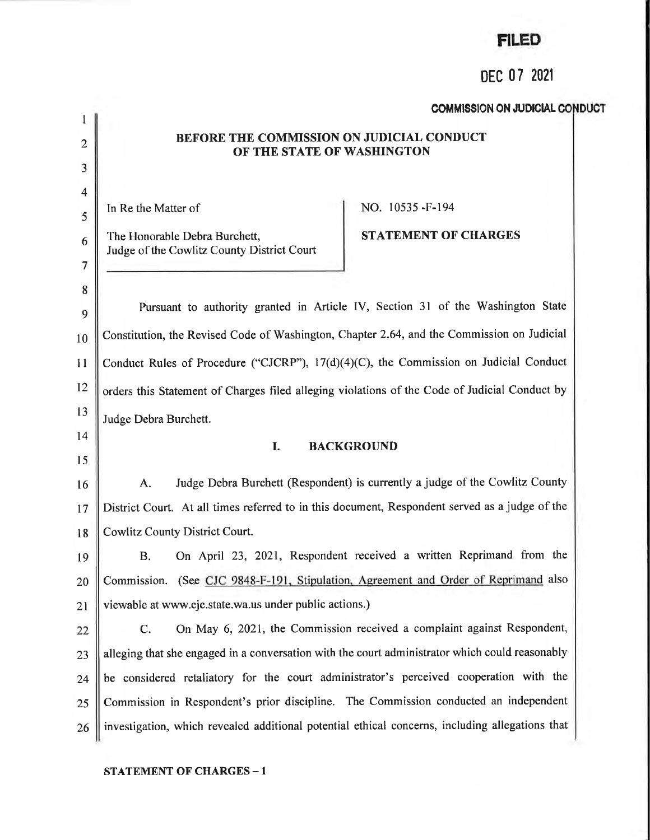# FILED

# DEC 07 <sup>2021</sup>

## COMMISSION ON JUDICIAL CONDUCT

#### BEFORE THE COMMISSION ON JUDICIAL CONDUCT OF THE STATE OF WASHINGTON

In Re the Matter of

The Honorable Debra Burchett, Judge of the Cowlitz County District Court

## NO. 10535 -F-194

STATEMENT OF CHARGES

9 10  $11$ t2 l3 Pursuant to authority granted in Article IV, Section 3l of the Washington State Constitution, the Revised Code of Washington, Chapter 2.64, and the Commission on Judicial Conduct Rules of Procedure ("CJCRP"),  $17(d)(4)(C)$ , the Commission on Judicial Conduct orders this Statement of Charges filed alleging violations of the Code of Judicial Conduct by Judge Debra Burchett.

t4 l5

I

2

J

4

5

6

7

8

#### I. BACKGROUND

t6 t7 18 A. Judge Debra Burchett (Respondent) is currently a judge of the Cowlitz County District Court. At all times referred to in this document, Respondent served as a judge of the Cowlitz County District Court.

19 20 2t B. On April 23, 2021, Respondent received a wriffen Reprimand from the Commission. (See CJC 9848-F-191. Stipulation. Agreement and Order of Reprimand also viewable at www.cjc.state.wa.us under public actions.)

22 23 24 25 26 C. On May 6, 2021, the Commission received a complaint against Respondent, alleging that she engaged in a conversation with the court administrator which could reasonably be considered retaliatory for the court administrator's perceived cooperation with the Commission in Respondent's prior discipline. The Commission conducted an independent investigation, which revealed additional potential ethical concerns, including allegations that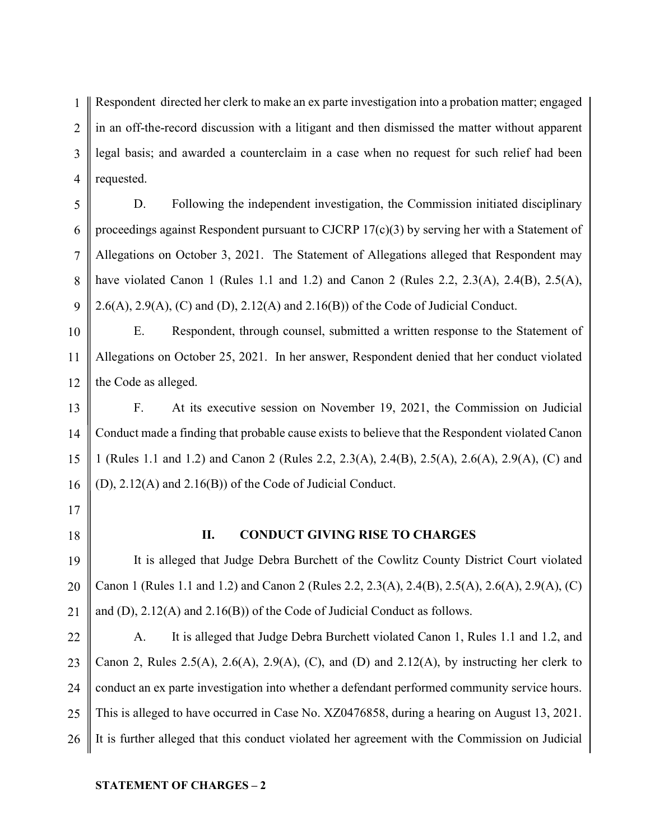1 2 3 4 Respondent directed her clerk to make an ex parte investigation into a probation matter; engaged in an off-the-record discussion with a litigant and then dismissed the matter without apparent legal basis; and awarded a counterclaim in a case when no request for such relief had been requested.

5 6 7 8 9 D. Following the independent investigation, the Commission initiated disciplinary proceedings against Respondent pursuant to CJCRP 17(c)(3) by serving her with a Statement of Allegations on October 3, 2021. The Statement of Allegations alleged that Respondent may have violated Canon 1 (Rules 1.1 and 1.2) and Canon 2 (Rules 2.2, 2.3(A), 2.4(B), 2.5(A), 2.6(A), 2.9(A), (C) and (D), 2.12(A) and 2.16(B)) of the Code of Judicial Conduct.

10 11 12 E. Respondent, through counsel, submitted a written response to the Statement of Allegations on October 25, 2021. In her answer, Respondent denied that her conduct violated the Code as alleged.

13 14 15 16 F. At its executive session on November 19, 2021, the Commission on Judicial Conduct made a finding that probable cause exists to believe that the Respondent violated Canon 1 (Rules 1.1 and 1.2) and Canon 2 (Rules 2.2, 2.3(A), 2.4(B), 2.5(A), 2.6(A), 2.9(A), (C) and (D), 2.12(A) and 2.16(B)) of the Code of Judicial Conduct.

- 17
- 18

## II. CONDUCT GIVING RISE TO CHARGES

19 20 21 It is alleged that Judge Debra Burchett of the Cowlitz County District Court violated Canon 1 (Rules 1.1 and 1.2) and Canon 2 (Rules 2.2, 2.3(A), 2.4(B), 2.5(A), 2.6(A), 2.9(A), (C) and (D), 2.12(A) and 2.16(B)) of the Code of Judicial Conduct as follows.

22 23 24 25 26 A. It is alleged that Judge Debra Burchett violated Canon 1, Rules 1.1 and 1.2, and Canon 2, Rules 2.5(A), 2.6(A), 2.9(A), (C), and (D) and 2.12(A), by instructing her clerk to conduct an ex parte investigation into whether a defendant performed community service hours. This is alleged to have occurred in Case No. XZ0476858, during a hearing on August 13, 2021. It is further alleged that this conduct violated her agreement with the Commission on Judicial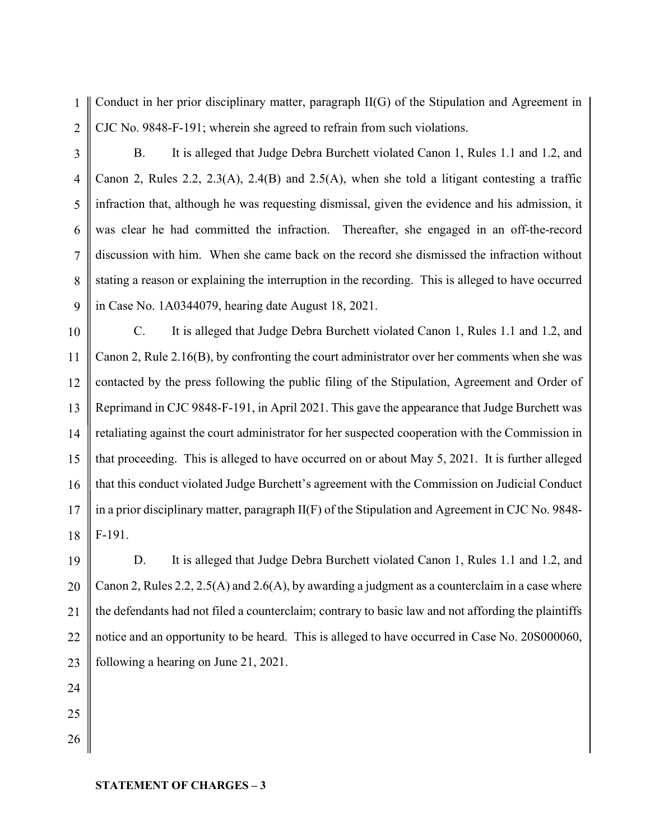1 2 Conduct in her prior disciplinary matter, paragraph II(G) of the Stipulation and Agreement in CJC No. 9848-F-191; wherein she agreed to refrain from such violations.

3

4

5

6

7

8

9

B. It is alleged that Judge Debra Burchett violated Canon 1, Rules 1.1 and 1.2, and Canon 2, Rules 2.2, 2.3(A), 2.4(B) and 2.5(A), when she told a litigant contesting a traffic infraction that, although he was requesting dismissal, given the evidence and his admission, it was clear he had committed the infraction. Thereafter, she engaged in an off-the-record discussion with him. When she came back on the record she dismissed the infraction without stating a reason or explaining the interruption in the recording. This is alleged to have occurred in Case No. 1A0344079, hearing date August 18, 2021.

10 11 12 13 14 15 16 17 18 C. It is alleged that Judge Debra Burchett violated Canon 1, Rules 1.1 and 1.2, and Canon 2, Rule 2.16(B), by confronting the court administrator over her comments when she was contacted by the press following the public filing of the Stipulation, Agreement and Order of Reprimand in CJC 9848-F-191, in April 2021. This gave the appearance that Judge Burchett was retaliating against the court administrator for her suspected cooperation with the Commission in that proceeding. This is alleged to have occurred on or about May 5, 2021. It is further alleged that this conduct violated Judge Burchett's agreement with the Commission on Judicial Conduct in a prior disciplinary matter, paragraph II(F) of the Stipulation and Agreement in CJC No. 9848- F-191.

19 20 21 22 23 D. It is alleged that Judge Debra Burchett violated Canon 1, Rules 1.1 and 1.2, and Canon 2, Rules 2.2, 2.5(A) and 2.6(A), by awarding a judgment as a counterclaim in a case where the defendants had not filed a counterclaim; contrary to basic law and not affording the plaintiffs notice and an opportunity to be heard. This is alleged to have occurred in Case No. 20S000060, following a hearing on June 21, 2021.

- 24
- 25 26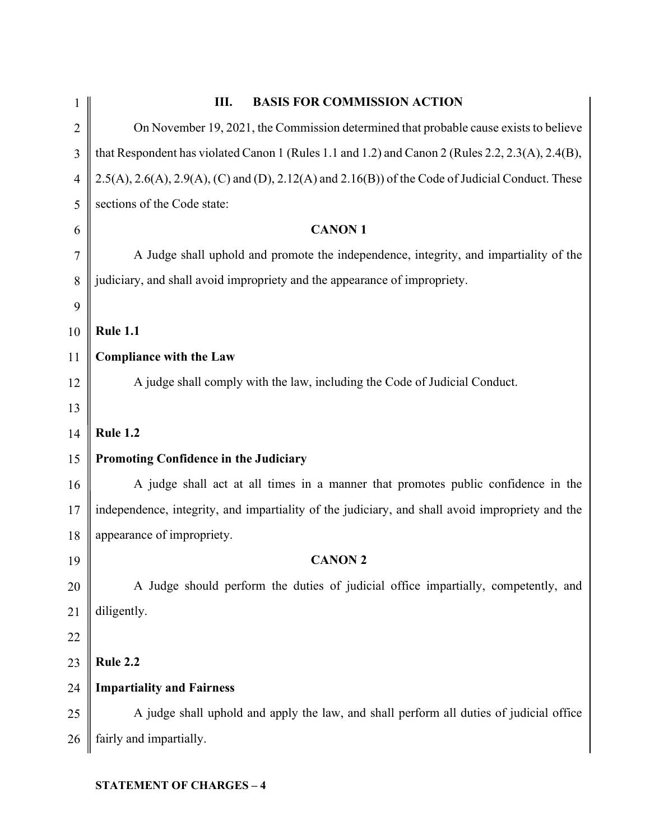| 1              | <b>BASIS FOR COMMISSION ACTION</b><br>Ш.                                                                       |
|----------------|----------------------------------------------------------------------------------------------------------------|
| $\overline{2}$ | On November 19, 2021, the Commission determined that probable cause exists to believe                          |
| 3              | that Respondent has violated Canon 1 (Rules 1.1 and 1.2) and Canon 2 (Rules 2.2, 2.3(A), 2.4(B),               |
| $\overline{4}$ | $2.5(A)$ , $2.6(A)$ , $2.9(A)$ , (C) and (D), $2.12(A)$ and $2.16(B)$ ) of the Code of Judicial Conduct. These |
| 5              | sections of the Code state:                                                                                    |
| 6              | <b>CANON1</b>                                                                                                  |
| 7              | A Judge shall uphold and promote the independence, integrity, and impartiality of the                          |
| 8              | judiciary, and shall avoid impropriety and the appearance of impropriety.                                      |
| 9              |                                                                                                                |
| 10             | <b>Rule 1.1</b>                                                                                                |
| 11             | <b>Compliance with the Law</b>                                                                                 |
| 12             | A judge shall comply with the law, including the Code of Judicial Conduct.                                     |
| 13             |                                                                                                                |
| 14             | <b>Rule 1.2</b>                                                                                                |
| 15             | <b>Promoting Confidence in the Judiciary</b>                                                                   |
| 16             | A judge shall act at all times in a manner that promotes public confidence in the                              |
| 17             | independence, integrity, and impartiality of the judiciary, and shall avoid impropriety and the                |
| 18             | appearance of impropriety.                                                                                     |
| 19             | <b>CANON 2</b>                                                                                                 |
| 20             | A Judge should perform the duties of judicial office impartially, competently, and                             |
| 21             | diligently.                                                                                                    |
| 22             |                                                                                                                |
| 23             | <b>Rule 2.2</b>                                                                                                |
| 24             | <b>Impartiality and Fairness</b>                                                                               |
| 25             | A judge shall uphold and apply the law, and shall perform all duties of judicial office                        |
| 26             | fairly and impartially.                                                                                        |
|                |                                                                                                                |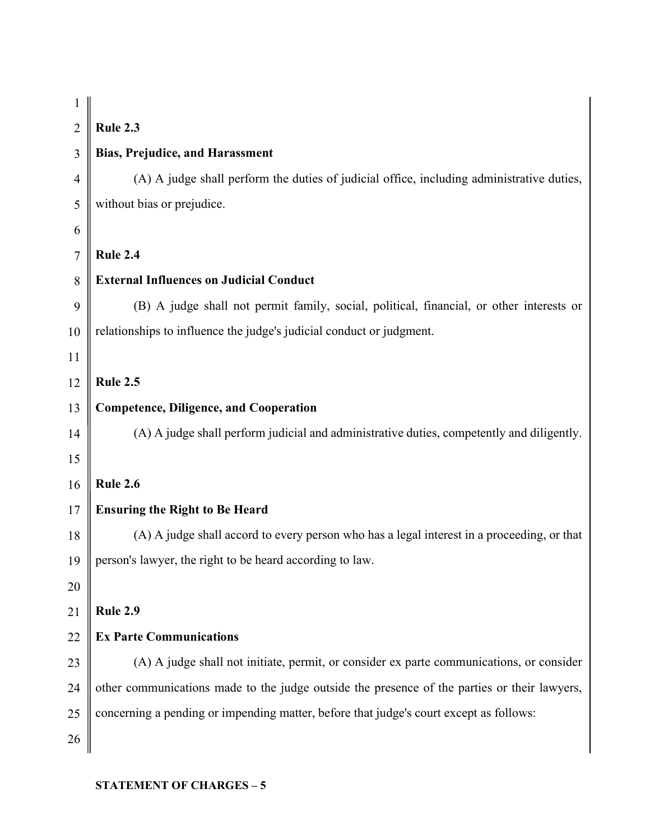| <b>Rule 2.3</b><br>$\overline{2}$<br><b>Bias, Prejudice, and Harassment</b><br>3<br>$\overline{4}$<br>without bias or prejudice.<br>5<br>6<br><b>Rule 2.4</b><br>7<br><b>External Influences on Judicial Conduct</b><br>8<br>9<br>relationships to influence the judge's judicial conduct or judgment.<br>10<br>11<br><b>Rule 2.5</b><br>12<br><b>Competence, Diligence, and Cooperation</b><br>13<br>14<br>15<br><b>Rule 2.6</b><br>16<br><b>Ensuring the Right to Be Heard</b><br>17<br>18<br>person's lawyer, the right to be heard according to law.<br>19<br>20<br>Rule 2.9<br>21<br><b>Ex Parte Communications</b><br>22<br>23<br>24<br>concerning a pending or impending matter, before that judge's court except as follows:<br>25<br>26 | 1 |                                                                                              |
|--------------------------------------------------------------------------------------------------------------------------------------------------------------------------------------------------------------------------------------------------------------------------------------------------------------------------------------------------------------------------------------------------------------------------------------------------------------------------------------------------------------------------------------------------------------------------------------------------------------------------------------------------------------------------------------------------------------------------------------------------|---|----------------------------------------------------------------------------------------------|
|                                                                                                                                                                                                                                                                                                                                                                                                                                                                                                                                                                                                                                                                                                                                                  |   |                                                                                              |
|                                                                                                                                                                                                                                                                                                                                                                                                                                                                                                                                                                                                                                                                                                                                                  |   |                                                                                              |
|                                                                                                                                                                                                                                                                                                                                                                                                                                                                                                                                                                                                                                                                                                                                                  |   | (A) A judge shall perform the duties of judicial office, including administrative duties,    |
|                                                                                                                                                                                                                                                                                                                                                                                                                                                                                                                                                                                                                                                                                                                                                  |   |                                                                                              |
|                                                                                                                                                                                                                                                                                                                                                                                                                                                                                                                                                                                                                                                                                                                                                  |   |                                                                                              |
|                                                                                                                                                                                                                                                                                                                                                                                                                                                                                                                                                                                                                                                                                                                                                  |   |                                                                                              |
|                                                                                                                                                                                                                                                                                                                                                                                                                                                                                                                                                                                                                                                                                                                                                  |   |                                                                                              |
|                                                                                                                                                                                                                                                                                                                                                                                                                                                                                                                                                                                                                                                                                                                                                  |   | (B) A judge shall not permit family, social, political, financial, or other interests or     |
|                                                                                                                                                                                                                                                                                                                                                                                                                                                                                                                                                                                                                                                                                                                                                  |   |                                                                                              |
|                                                                                                                                                                                                                                                                                                                                                                                                                                                                                                                                                                                                                                                                                                                                                  |   |                                                                                              |
|                                                                                                                                                                                                                                                                                                                                                                                                                                                                                                                                                                                                                                                                                                                                                  |   |                                                                                              |
|                                                                                                                                                                                                                                                                                                                                                                                                                                                                                                                                                                                                                                                                                                                                                  |   |                                                                                              |
|                                                                                                                                                                                                                                                                                                                                                                                                                                                                                                                                                                                                                                                                                                                                                  |   | (A) A judge shall perform judicial and administrative duties, competently and diligently.    |
|                                                                                                                                                                                                                                                                                                                                                                                                                                                                                                                                                                                                                                                                                                                                                  |   |                                                                                              |
|                                                                                                                                                                                                                                                                                                                                                                                                                                                                                                                                                                                                                                                                                                                                                  |   |                                                                                              |
|                                                                                                                                                                                                                                                                                                                                                                                                                                                                                                                                                                                                                                                                                                                                                  |   |                                                                                              |
|                                                                                                                                                                                                                                                                                                                                                                                                                                                                                                                                                                                                                                                                                                                                                  |   | (A) A judge shall accord to every person who has a legal interest in a proceeding, or that   |
|                                                                                                                                                                                                                                                                                                                                                                                                                                                                                                                                                                                                                                                                                                                                                  |   |                                                                                              |
|                                                                                                                                                                                                                                                                                                                                                                                                                                                                                                                                                                                                                                                                                                                                                  |   |                                                                                              |
|                                                                                                                                                                                                                                                                                                                                                                                                                                                                                                                                                                                                                                                                                                                                                  |   |                                                                                              |
|                                                                                                                                                                                                                                                                                                                                                                                                                                                                                                                                                                                                                                                                                                                                                  |   |                                                                                              |
|                                                                                                                                                                                                                                                                                                                                                                                                                                                                                                                                                                                                                                                                                                                                                  |   | (A) A judge shall not initiate, permit, or consider ex parte communications, or consider     |
|                                                                                                                                                                                                                                                                                                                                                                                                                                                                                                                                                                                                                                                                                                                                                  |   | other communications made to the judge outside the presence of the parties or their lawyers, |
|                                                                                                                                                                                                                                                                                                                                                                                                                                                                                                                                                                                                                                                                                                                                                  |   |                                                                                              |
|                                                                                                                                                                                                                                                                                                                                                                                                                                                                                                                                                                                                                                                                                                                                                  |   |                                                                                              |

## STATEMENT OF CHARGES – 5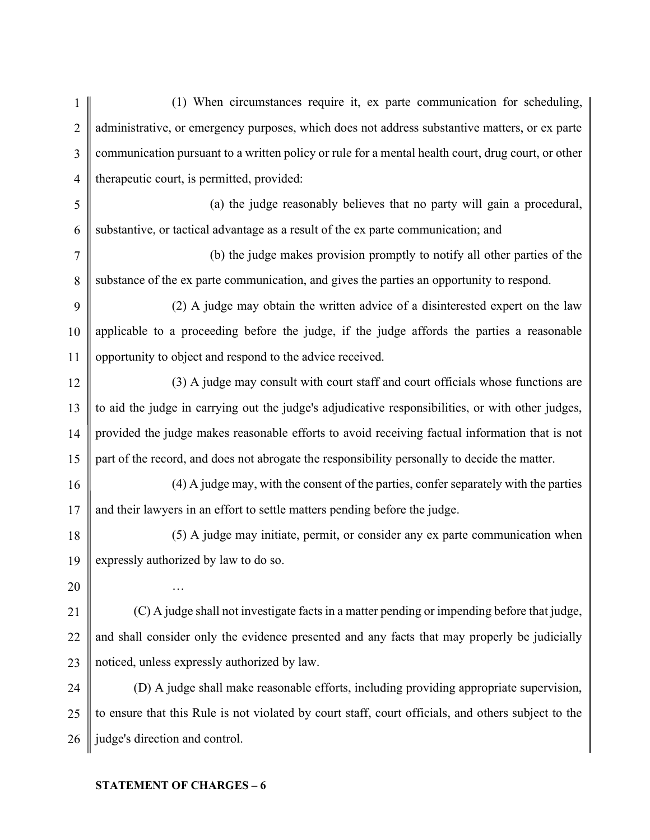1 2 3 4 5 6 7 8 9 10 11 12 13 14 15 16 17 18 19 20 21 22 23 24 25 26 (1) When circumstances require it, ex parte communication for scheduling, administrative, or emergency purposes, which does not address substantive matters, or ex parte communication pursuant to a written policy or rule for a mental health court, drug court, or other therapeutic court, is permitted, provided: (a) the judge reasonably believes that no party will gain a procedural, substantive, or tactical advantage as a result of the ex parte communication; and (b) the judge makes provision promptly to notify all other parties of the substance of the ex parte communication, and gives the parties an opportunity to respond. (2) A judge may obtain the written advice of a disinterested expert on the law applicable to a proceeding before the judge, if the judge affords the parties a reasonable opportunity to object and respond to the advice received. (3) A judge may consult with court staff and court officials whose functions are to aid the judge in carrying out the judge's adjudicative responsibilities, or with other judges, provided the judge makes reasonable efforts to avoid receiving factual information that is not part of the record, and does not abrogate the responsibility personally to decide the matter. (4) A judge may, with the consent of the parties, confer separately with the parties and their lawyers in an effort to settle matters pending before the judge. (5) A judge may initiate, permit, or consider any ex parte communication when expressly authorized by law to do so. … (C) A judge shall not investigate facts in a matter pending or impending before that judge, and shall consider only the evidence presented and any facts that may properly be judicially noticed, unless expressly authorized by law. (D) A judge shall make reasonable efforts, including providing appropriate supervision, to ensure that this Rule is not violated by court staff, court officials, and others subject to the judge's direction and control.

#### STATEMENT OF CHARGES – 6